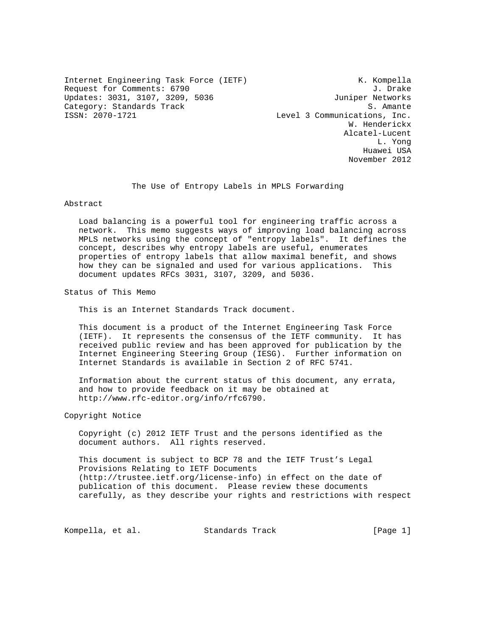Internet Engineering Task Force (IETF) K. Kompella Request for Comments: 6790 J. Drake Updates: 3031, 3107, 3209, 5036 Juniper Networks Category: Standards Track and S. Amante S. Amante S. Amante S. Amante S. Amante S. Amante S. Amante S. Amante S. Amante S. Amante S. Amante S. Amante S. Amante S. Amante S. Amante S. Amante S. Amante S. Amante S. Amante S.

Level 3 Communications, Inc. W. Henderickx Alcatel-Lucent L. Yong Huawei USA November 2012

The Use of Entropy Labels in MPLS Forwarding

Abstract

 Load balancing is a powerful tool for engineering traffic across a network. This memo suggests ways of improving load balancing across MPLS networks using the concept of "entropy labels". It defines the concept, describes why entropy labels are useful, enumerates properties of entropy labels that allow maximal benefit, and shows how they can be signaled and used for various applications. This document updates RFCs 3031, 3107, 3209, and 5036.

Status of This Memo

This is an Internet Standards Track document.

 This document is a product of the Internet Engineering Task Force (IETF). It represents the consensus of the IETF community. It has received public review and has been approved for publication by the Internet Engineering Steering Group (IESG). Further information on Internet Standards is available in Section 2 of RFC 5741.

 Information about the current status of this document, any errata, and how to provide feedback on it may be obtained at http://www.rfc-editor.org/info/rfc6790.

Copyright Notice

 Copyright (c) 2012 IETF Trust and the persons identified as the document authors. All rights reserved.

 This document is subject to BCP 78 and the IETF Trust's Legal Provisions Relating to IETF Documents (http://trustee.ietf.org/license-info) in effect on the date of publication of this document. Please review these documents carefully, as they describe your rights and restrictions with respect

Kompella, et al. Standards Track [Page 1]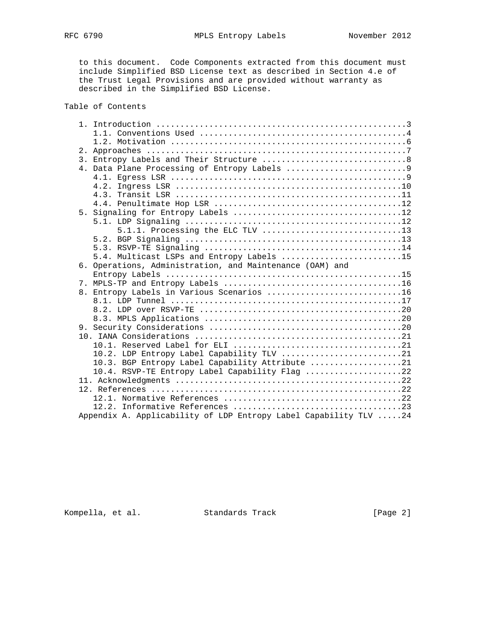to this document. Code Components extracted from this document must include Simplified BSD License text as described in Section 4.e of the Trust Legal Provisions and are provided without warranty as described in the Simplified BSD License.

Table of Contents

|  | 5.4. Multicast LSPs and Entropy Labels 15                        |
|--|------------------------------------------------------------------|
|  | 6. Operations, Administration, and Maintenance (OAM) and         |
|  |                                                                  |
|  |                                                                  |
|  | 8. Entropy Labels in Various Scenarios 16                        |
|  |                                                                  |
|  |                                                                  |
|  |                                                                  |
|  |                                                                  |
|  |                                                                  |
|  |                                                                  |
|  | 10.2. LDP Entropy Label Capability TLV 21                        |
|  | 10.3. BGP Entropy Label Capability Attribute 21                  |
|  | 10.4. RSVP-TE Entropy Label Capability Flag 22                   |
|  |                                                                  |
|  |                                                                  |
|  |                                                                  |
|  |                                                                  |
|  | Appendix A. Applicability of LDP Entropy Label Capability TLV 24 |

Kompella, et al. Standards Track [Page 2]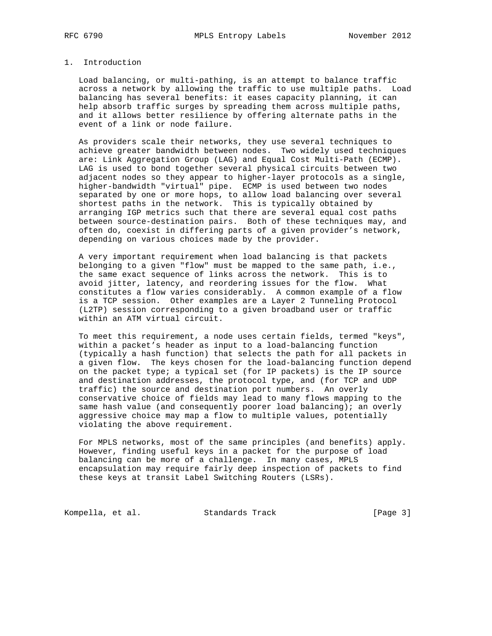# 1. Introduction

 Load balancing, or multi-pathing, is an attempt to balance traffic across a network by allowing the traffic to use multiple paths. Load balancing has several benefits: it eases capacity planning, it can help absorb traffic surges by spreading them across multiple paths, and it allows better resilience by offering alternate paths in the event of a link or node failure.

 As providers scale their networks, they use several techniques to achieve greater bandwidth between nodes. Two widely used techniques are: Link Aggregation Group (LAG) and Equal Cost Multi-Path (ECMP). LAG is used to bond together several physical circuits between two adjacent nodes so they appear to higher-layer protocols as a single, higher-bandwidth "virtual" pipe. ECMP is used between two nodes separated by one or more hops, to allow load balancing over several shortest paths in the network. This is typically obtained by arranging IGP metrics such that there are several equal cost paths between source-destination pairs. Both of these techniques may, and often do, coexist in differing parts of a given provider's network, depending on various choices made by the provider.

 A very important requirement when load balancing is that packets belonging to a given "flow" must be mapped to the same path, i.e., the same exact sequence of links across the network. This is to avoid jitter, latency, and reordering issues for the flow. What constitutes a flow varies considerably. A common example of a flow is a TCP session. Other examples are a Layer 2 Tunneling Protocol (L2TP) session corresponding to a given broadband user or traffic within an ATM virtual circuit.

 To meet this requirement, a node uses certain fields, termed "keys", within a packet's header as input to a load-balancing function (typically a hash function) that selects the path for all packets in a given flow. The keys chosen for the load-balancing function depend on the packet type; a typical set (for IP packets) is the IP source and destination addresses, the protocol type, and (for TCP and UDP traffic) the source and destination port numbers. An overly conservative choice of fields may lead to many flows mapping to the same hash value (and consequently poorer load balancing); an overly aggressive choice may map a flow to multiple values, potentially violating the above requirement.

 For MPLS networks, most of the same principles (and benefits) apply. However, finding useful keys in a packet for the purpose of load balancing can be more of a challenge. In many cases, MPLS encapsulation may require fairly deep inspection of packets to find these keys at transit Label Switching Routers (LSRs).

Kompella, et al. Standards Track [Page 3]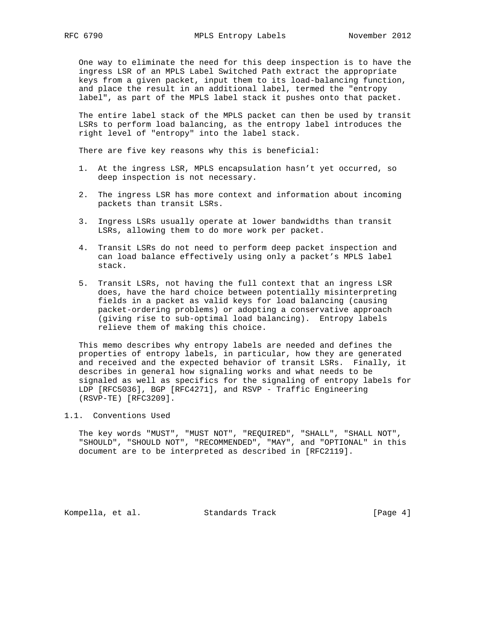One way to eliminate the need for this deep inspection is to have the ingress LSR of an MPLS Label Switched Path extract the appropriate keys from a given packet, input them to its load-balancing function, and place the result in an additional label, termed the "entropy label", as part of the MPLS label stack it pushes onto that packet.

 The entire label stack of the MPLS packet can then be used by transit LSRs to perform load balancing, as the entropy label introduces the right level of "entropy" into the label stack.

There are five key reasons why this is beneficial:

- 1. At the ingress LSR, MPLS encapsulation hasn't yet occurred, so deep inspection is not necessary.
- 2. The ingress LSR has more context and information about incoming packets than transit LSRs.
- 3. Ingress LSRs usually operate at lower bandwidths than transit LSRs, allowing them to do more work per packet.
- 4. Transit LSRs do not need to perform deep packet inspection and can load balance effectively using only a packet's MPLS label stack.
- 5. Transit LSRs, not having the full context that an ingress LSR does, have the hard choice between potentially misinterpreting fields in a packet as valid keys for load balancing (causing packet-ordering problems) or adopting a conservative approach (giving rise to sub-optimal load balancing). Entropy labels relieve them of making this choice.

 This memo describes why entropy labels are needed and defines the properties of entropy labels, in particular, how they are generated and received and the expected behavior of transit LSRs. Finally, it describes in general how signaling works and what needs to be signaled as well as specifics for the signaling of entropy labels for LDP [RFC5036], BGP [RFC4271], and RSVP - Traffic Engineering (RSVP-TE) [RFC3209].

# 1.1. Conventions Used

 The key words "MUST", "MUST NOT", "REQUIRED", "SHALL", "SHALL NOT", "SHOULD", "SHOULD NOT", "RECOMMENDED", "MAY", and "OPTIONAL" in this document are to be interpreted as described in [RFC2119].

Kompella, et al. Standards Track [Page 4]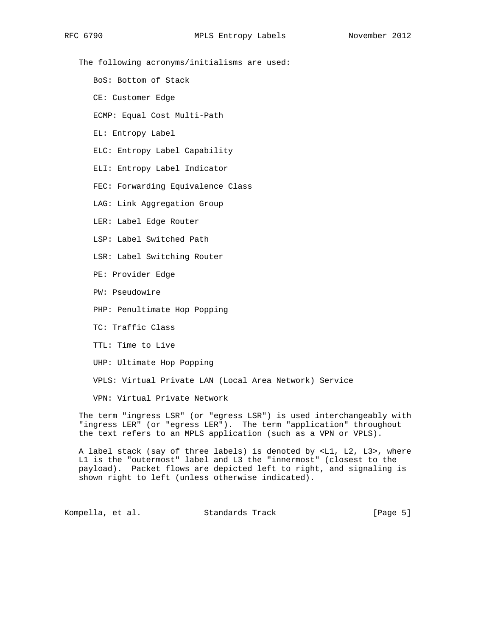The following acronyms/initialisms are used:

BoS: Bottom of Stack

CE: Customer Edge

ECMP: Equal Cost Multi-Path

EL: Entropy Label

ELC: Entropy Label Capability

ELI: Entropy Label Indicator

FEC: Forwarding Equivalence Class

LAG: Link Aggregation Group

LER: Label Edge Router

LSP: Label Switched Path

LSR: Label Switching Router

PE: Provider Edge

PW: Pseudowire

PHP: Penultimate Hop Popping

TC: Traffic Class

TTL: Time to Live

UHP: Ultimate Hop Popping

VPLS: Virtual Private LAN (Local Area Network) Service

VPN: Virtual Private Network

 The term "ingress LSR" (or "egress LSR") is used interchangeably with "ingress LER" (or "egress LER"). The term "application" throughout the text refers to an MPLS application (such as a VPN or VPLS).

 A label stack (say of three labels) is denoted by <L1, L2, L3>, where L1 is the "outermost" label and L3 the "innermost" (closest to the payload). Packet flows are depicted left to right, and signaling is shown right to left (unless otherwise indicated).

Kompella, et al. Standards Track [Page 5]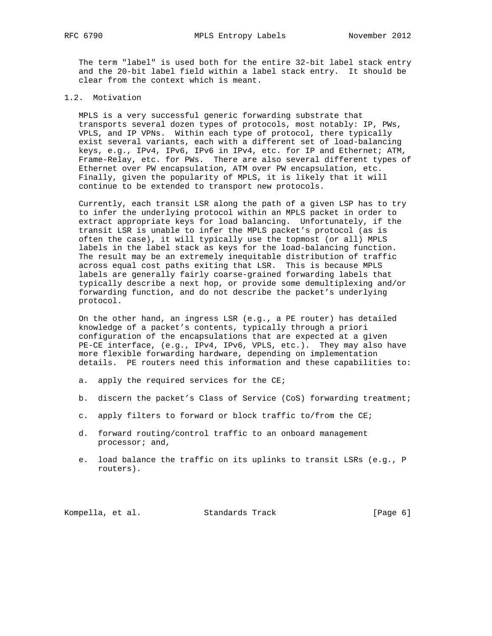The term "label" is used both for the entire 32-bit label stack entry and the 20-bit label field within a label stack entry. It should be clear from the context which is meant.

# 1.2. Motivation

 MPLS is a very successful generic forwarding substrate that transports several dozen types of protocols, most notably: IP, PWs, VPLS, and IP VPNs. Within each type of protocol, there typically exist several variants, each with a different set of load-balancing keys, e.g., IPv4, IPv6, IPv6 in IPv4, etc. for IP and Ethernet; ATM, Frame-Relay, etc. for PWs. There are also several different types of Ethernet over PW encapsulation, ATM over PW encapsulation, etc. Finally, given the popularity of MPLS, it is likely that it will continue to be extended to transport new protocols.

 Currently, each transit LSR along the path of a given LSP has to try to infer the underlying protocol within an MPLS packet in order to extract appropriate keys for load balancing. Unfortunately, if the transit LSR is unable to infer the MPLS packet's protocol (as is often the case), it will typically use the topmost (or all) MPLS labels in the label stack as keys for the load-balancing function. The result may be an extremely inequitable distribution of traffic across equal cost paths exiting that LSR. This is because MPLS labels are generally fairly coarse-grained forwarding labels that typically describe a next hop, or provide some demultiplexing and/or forwarding function, and do not describe the packet's underlying protocol.

 On the other hand, an ingress LSR (e.g., a PE router) has detailed knowledge of a packet's contents, typically through a priori configuration of the encapsulations that are expected at a given PE-CE interface, (e.g., IPv4, IPv6, VPLS, etc.). They may also have more flexible forwarding hardware, depending on implementation details. PE routers need this information and these capabilities to:

- a. apply the required services for the CE;
- b. discern the packet's Class of Service (CoS) forwarding treatment;
- c. apply filters to forward or block traffic to/from the CE;
- d. forward routing/control traffic to an onboard management processor; and,
- e. load balance the traffic on its uplinks to transit LSRs (e.g., P routers).

Kompella, et al. Standards Track [Page 6]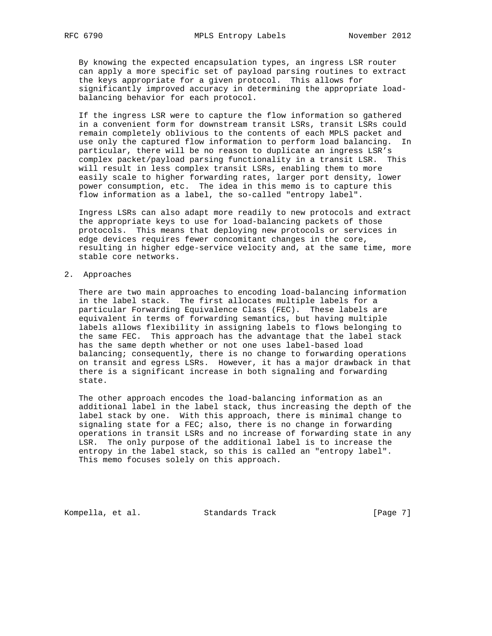By knowing the expected encapsulation types, an ingress LSR router can apply a more specific set of payload parsing routines to extract the keys appropriate for a given protocol. This allows for significantly improved accuracy in determining the appropriate load balancing behavior for each protocol.

 If the ingress LSR were to capture the flow information so gathered in a convenient form for downstream transit LSRs, transit LSRs could remain completely oblivious to the contents of each MPLS packet and use only the captured flow information to perform load balancing. In particular, there will be no reason to duplicate an ingress LSR's complex packet/payload parsing functionality in a transit LSR. This will result in less complex transit LSRs, enabling them to more easily scale to higher forwarding rates, larger port density, lower power consumption, etc. The idea in this memo is to capture this flow information as a label, the so-called "entropy label".

 Ingress LSRs can also adapt more readily to new protocols and extract the appropriate keys to use for load-balancing packets of those protocols. This means that deploying new protocols or services in edge devices requires fewer concomitant changes in the core, resulting in higher edge-service velocity and, at the same time, more stable core networks.

# 2. Approaches

 There are two main approaches to encoding load-balancing information in the label stack. The first allocates multiple labels for a particular Forwarding Equivalence Class (FEC). These labels are equivalent in terms of forwarding semantics, but having multiple labels allows flexibility in assigning labels to flows belonging to the same FEC. This approach has the advantage that the label stack has the same depth whether or not one uses label-based load balancing; consequently, there is no change to forwarding operations on transit and egress LSRs. However, it has a major drawback in that there is a significant increase in both signaling and forwarding state.

 The other approach encodes the load-balancing information as an additional label in the label stack, thus increasing the depth of the label stack by one. With this approach, there is minimal change to signaling state for a FEC; also, there is no change in forwarding operations in transit LSRs and no increase of forwarding state in any LSR. The only purpose of the additional label is to increase the entropy in the label stack, so this is called an "entropy label". This memo focuses solely on this approach.

Kompella, et al. Standards Track [Page 7]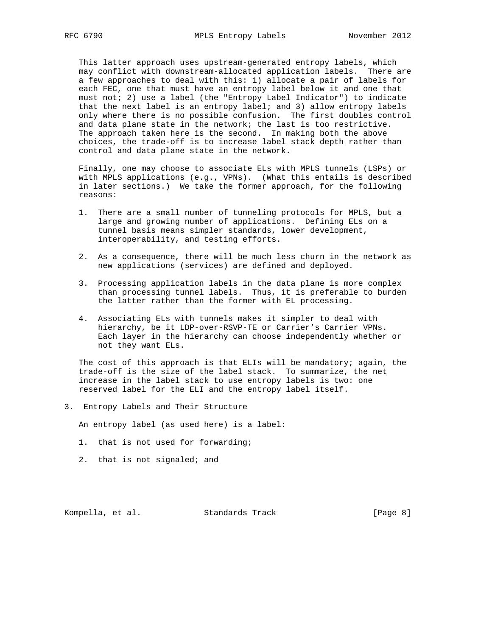This latter approach uses upstream-generated entropy labels, which may conflict with downstream-allocated application labels. There are a few approaches to deal with this: 1) allocate a pair of labels for each FEC, one that must have an entropy label below it and one that must not; 2) use a label (the "Entropy Label Indicator") to indicate that the next label is an entropy label; and 3) allow entropy labels only where there is no possible confusion. The first doubles control and data plane state in the network; the last is too restrictive. The approach taken here is the second. In making both the above choices, the trade-off is to increase label stack depth rather than control and data plane state in the network.

 Finally, one may choose to associate ELs with MPLS tunnels (LSPs) or with MPLS applications (e.g., VPNs). (What this entails is described in later sections.) We take the former approach, for the following reasons:

- 1. There are a small number of tunneling protocols for MPLS, but a large and growing number of applications. Defining ELs on a tunnel basis means simpler standards, lower development, interoperability, and testing efforts.
- 2. As a consequence, there will be much less churn in the network as new applications (services) are defined and deployed.
- 3. Processing application labels in the data plane is more complex than processing tunnel labels. Thus, it is preferable to burden the latter rather than the former with EL processing.
- 4. Associating ELs with tunnels makes it simpler to deal with hierarchy, be it LDP-over-RSVP-TE or Carrier's Carrier VPNs. Each layer in the hierarchy can choose independently whether or not they want ELs.

The cost of this approach is that ELIs will be mandatory; again, the trade-off is the size of the label stack. To summarize, the net increase in the label stack to use entropy labels is two: one reserved label for the ELI and the entropy label itself.

3. Entropy Labels and Their Structure

An entropy label (as used here) is a label:

- 1. that is not used for forwarding;
- 2. that is not signaled; and

Kompella, et al. Standards Track [Page 8]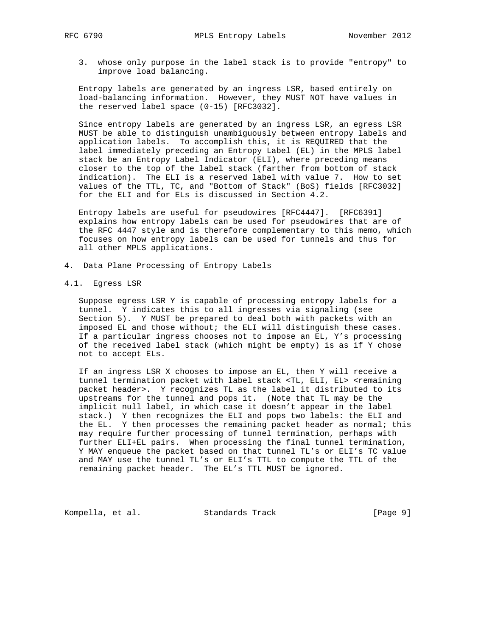3. whose only purpose in the label stack is to provide "entropy" to improve load balancing.

 Entropy labels are generated by an ingress LSR, based entirely on load-balancing information. However, they MUST NOT have values in the reserved label space (0-15) [RFC3032].

 Since entropy labels are generated by an ingress LSR, an egress LSR MUST be able to distinguish unambiguously between entropy labels and application labels. To accomplish this, it is REQUIRED that the label immediately preceding an Entropy Label (EL) in the MPLS label stack be an Entropy Label Indicator (ELI), where preceding means closer to the top of the label stack (farther from bottom of stack indication). The ELI is a reserved label with value 7. How to set values of the TTL, TC, and "Bottom of Stack" (BoS) fields [RFC3032] for the ELI and for ELs is discussed in Section 4.2.

 Entropy labels are useful for pseudowires [RFC4447]. [RFC6391] explains how entropy labels can be used for pseudowires that are of the RFC 4447 style and is therefore complementary to this memo, which focuses on how entropy labels can be used for tunnels and thus for all other MPLS applications.

- 4. Data Plane Processing of Entropy Labels
- 4.1. Egress LSR

 Suppose egress LSR Y is capable of processing entropy labels for a tunnel. Y indicates this to all ingresses via signaling (see Section 5). Y MUST be prepared to deal both with packets with an imposed EL and those without; the ELI will distinguish these cases. If a particular ingress chooses not to impose an EL, Y's processing of the received label stack (which might be empty) is as if Y chose not to accept ELs.

 If an ingress LSR X chooses to impose an EL, then Y will receive a tunnel termination packet with label stack <TL, ELI, EL> <remaining packet header>. Y recognizes TL as the label it distributed to its upstreams for the tunnel and pops it. (Note that TL may be the implicit null label, in which case it doesn't appear in the label stack.) Y then recognizes the ELI and pops two labels: the ELI and the EL. Y then processes the remaining packet header as normal; this may require further processing of tunnel termination, perhaps with further ELI+EL pairs. When processing the final tunnel termination, Y MAY enqueue the packet based on that tunnel TL's or ELI's TC value and MAY use the tunnel TL's or ELI's TTL to compute the TTL of the remaining packet header. The EL's TTL MUST be ignored.

Kompella, et al. Standards Track [Page 9]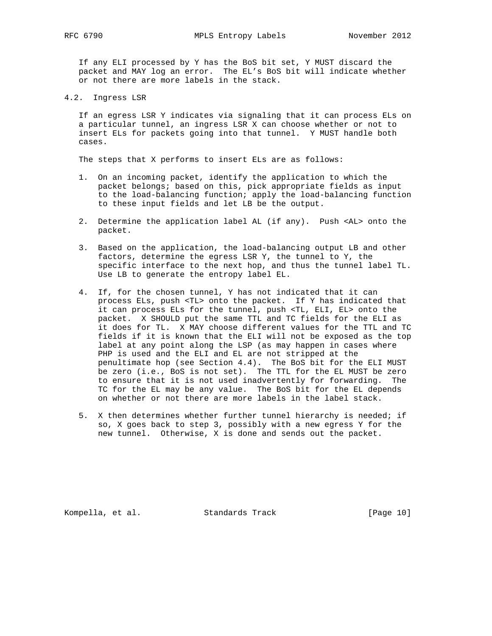If any ELI processed by Y has the BoS bit set, Y MUST discard the packet and MAY log an error. The EL's BoS bit will indicate whether or not there are more labels in the stack.

4.2. Ingress LSR

 If an egress LSR Y indicates via signaling that it can process ELs on a particular tunnel, an ingress LSR X can choose whether or not to insert ELs for packets going into that tunnel. Y MUST handle both cases.

The steps that X performs to insert ELs are as follows:

- 1. On an incoming packet, identify the application to which the packet belongs; based on this, pick appropriate fields as input to the load-balancing function; apply the load-balancing function to these input fields and let LB be the output.
- 2. Determine the application label AL (if any). Push <AL> onto the packet.
- 3. Based on the application, the load-balancing output LB and other factors, determine the egress LSR Y, the tunnel to Y, the specific interface to the next hop, and thus the tunnel label TL. Use LB to generate the entropy label EL.
- 4. If, for the chosen tunnel, Y has not indicated that it can process ELs, push <TL> onto the packet. If Y has indicated that it can process ELs for the tunnel, push <TL, ELI, EL> onto the packet. X SHOULD put the same TTL and TC fields for the ELI as it does for TL. X MAY choose different values for the TTL and TC fields if it is known that the ELI will not be exposed as the top label at any point along the LSP (as may happen in cases where PHP is used and the ELI and EL are not stripped at the penultimate hop (see Section 4.4). The BoS bit for the ELI MUST be zero (i.e., BoS is not set). The TTL for the EL MUST be zero to ensure that it is not used inadvertently for forwarding. The TC for the EL may be any value. The BoS bit for the EL depends on whether or not there are more labels in the label stack.
- 5. X then determines whether further tunnel hierarchy is needed; if so, X goes back to step 3, possibly with a new egress Y for the new tunnel. Otherwise, X is done and sends out the packet.

Kompella, et al. Standards Track [Page 10]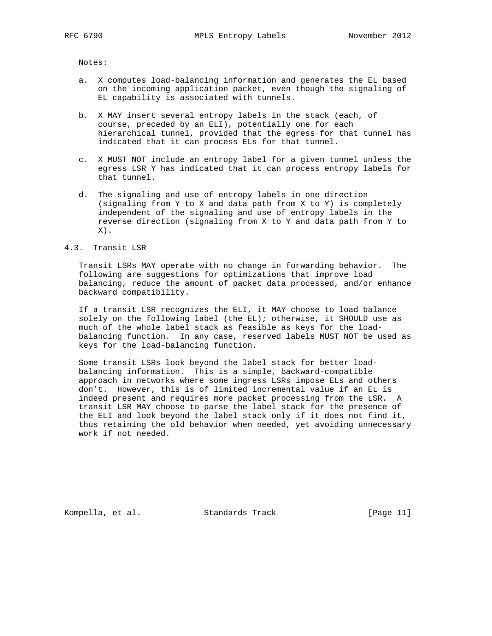Notes:

- a. X computes load-balancing information and generates the EL based on the incoming application packet, even though the signaling of EL capability is associated with tunnels.
- b. X MAY insert several entropy labels in the stack (each, of course, preceded by an ELI), potentially one for each hierarchical tunnel, provided that the egress for that tunnel has indicated that it can process ELs for that tunnel.
- c. X MUST NOT include an entropy label for a given tunnel unless the egress LSR Y has indicated that it can process entropy labels for that tunnel.
- d. The signaling and use of entropy labels in one direction (signaling from Y to X and data path from X to Y) is completely independent of the signaling and use of entropy labels in the reverse direction (signaling from X to Y and data path from Y to  $X)$  .

## 4.3. Transit LSR

 Transit LSRs MAY operate with no change in forwarding behavior. The following are suggestions for optimizations that improve load balancing, reduce the amount of packet data processed, and/or enhance backward compatibility.

 If a transit LSR recognizes the ELI, it MAY choose to load balance solely on the following label (the EL); otherwise, it SHOULD use as much of the whole label stack as feasible as keys for the load balancing function. In any case, reserved labels MUST NOT be used as keys for the load-balancing function.

 Some transit LSRs look beyond the label stack for better load balancing information. This is a simple, backward-compatible approach in networks where some ingress LSRs impose ELs and others don't. However, this is of limited incremental value if an EL is indeed present and requires more packet processing from the LSR. A transit LSR MAY choose to parse the label stack for the presence of the ELI and look beyond the label stack only if it does not find it, thus retaining the old behavior when needed, yet avoiding unnecessary work if not needed.

Kompella, et al. Standards Track [Page 11]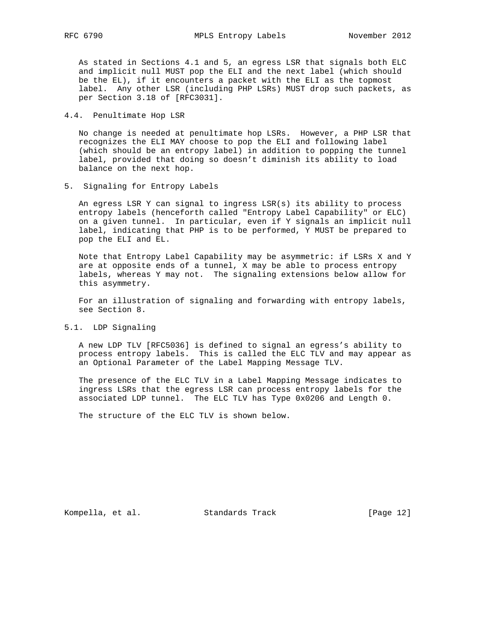As stated in Sections 4.1 and 5, an egress LSR that signals both ELC and implicit null MUST pop the ELI and the next label (which should be the EL), if it encounters a packet with the ELI as the topmost label. Any other LSR (including PHP LSRs) MUST drop such packets, as per Section 3.18 of [RFC3031].

# 4.4. Penultimate Hop LSR

 No change is needed at penultimate hop LSRs. However, a PHP LSR that recognizes the ELI MAY choose to pop the ELI and following label (which should be an entropy label) in addition to popping the tunnel label, provided that doing so doesn't diminish its ability to load balance on the next hop.

5. Signaling for Entropy Labels

 An egress LSR Y can signal to ingress LSR(s) its ability to process entropy labels (henceforth called "Entropy Label Capability" or ELC) on a given tunnel. In particular, even if Y signals an implicit null label, indicating that PHP is to be performed, Y MUST be prepared to pop the ELI and EL.

 Note that Entropy Label Capability may be asymmetric: if LSRs X and Y are at opposite ends of a tunnel, X may be able to process entropy labels, whereas Y may not. The signaling extensions below allow for this asymmetry.

 For an illustration of signaling and forwarding with entropy labels, see Section 8.

5.1. LDP Signaling

 A new LDP TLV [RFC5036] is defined to signal an egress's ability to process entropy labels. This is called the ELC TLV and may appear as an Optional Parameter of the Label Mapping Message TLV.

 The presence of the ELC TLV in a Label Mapping Message indicates to ingress LSRs that the egress LSR can process entropy labels for the associated LDP tunnel. The ELC TLV has Type 0x0206 and Length 0.

The structure of the ELC TLV is shown below.

Kompella, et al. Standards Track [Page 12]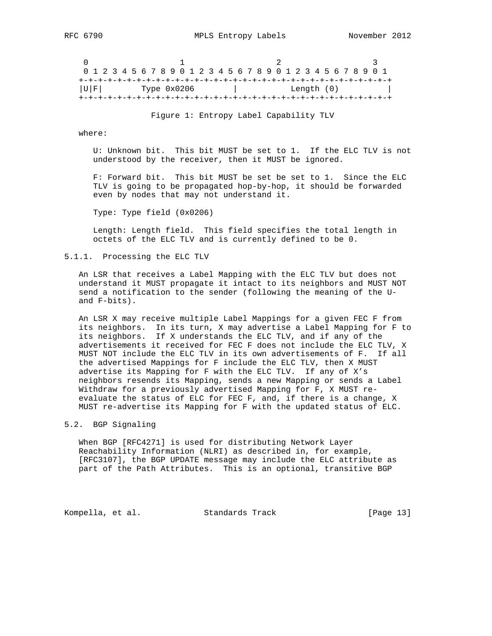0  $1$  2 3 0 1 2 3 4 5 6 7 8 9 0 1 2 3 4 5 6 7 8 9 0 1 2 3 4 5 6 7 8 9 0 1 +-+-+-+-+-+-+-+-+-+-+-+-+-+-+-+-+-+-+-+-+-+-+-+-+-+-+-+-+-+-+-+-+ |U|F| Type 0x0206 | Length (0) | +-+-+-+-+-+-+-+-+-+-+-+-+-+-+-+-+-+-+-+-+-+-+-+-+-+-+-+-+-+-+-+-+

Figure 1: Entropy Label Capability TLV

where:

 U: Unknown bit. This bit MUST be set to 1. If the ELC TLV is not understood by the receiver, then it MUST be ignored.

 F: Forward bit. This bit MUST be set be set to 1. Since the ELC TLV is going to be propagated hop-by-hop, it should be forwarded even by nodes that may not understand it.

Type: Type field (0x0206)

 Length: Length field. This field specifies the total length in octets of the ELC TLV and is currently defined to be 0.

## 5.1.1. Processing the ELC TLV

 An LSR that receives a Label Mapping with the ELC TLV but does not understand it MUST propagate it intact to its neighbors and MUST NOT send a notification to the sender (following the meaning of the U and F-bits).

 An LSR X may receive multiple Label Mappings for a given FEC F from its neighbors. In its turn, X may advertise a Label Mapping for F to its neighbors. If X understands the ELC TLV, and if any of the advertisements it received for FEC F does not include the ELC TLV, X MUST NOT include the ELC TLV in its own advertisements of F. If all the advertised Mappings for F include the ELC TLV, then X MUST advertise its Mapping for F with the ELC TLV. If any of X's neighbors resends its Mapping, sends a new Mapping or sends a Label Withdraw for a previously advertised Mapping for F, X MUST re evaluate the status of ELC for FEC F, and, if there is a change, X MUST re-advertise its Mapping for F with the updated status of ELC.

# 5.2. BGP Signaling

 When BGP [RFC4271] is used for distributing Network Layer Reachability Information (NLRI) as described in, for example, [RFC3107], the BGP UPDATE message may include the ELC attribute as part of the Path Attributes. This is an optional, transitive BGP

Kompella, et al. Standards Track [Page 13]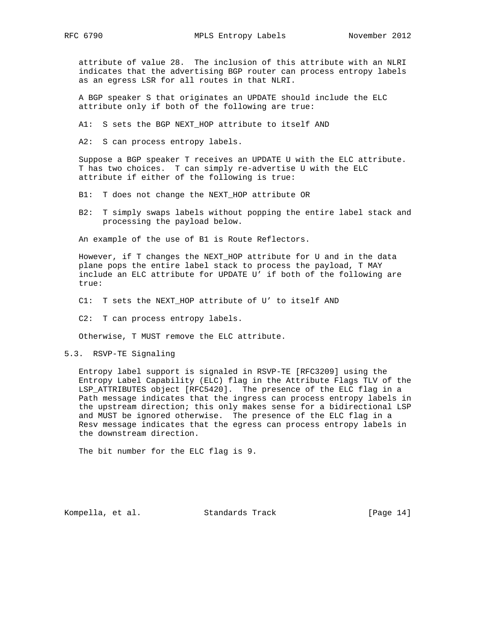attribute of value 28. The inclusion of this attribute with an NLRI indicates that the advertising BGP router can process entropy labels as an egress LSR for all routes in that NLRI.

 A BGP speaker S that originates an UPDATE should include the ELC attribute only if both of the following are true:

A1: S sets the BGP NEXT\_HOP attribute to itself AND

A2: S can process entropy labels.

 Suppose a BGP speaker T receives an UPDATE U with the ELC attribute. T has two choices. T can simply re-advertise U with the ELC attribute if either of the following is true:

B1: T does not change the NEXT\_HOP attribute OR

 B2: T simply swaps labels without popping the entire label stack and processing the payload below.

An example of the use of B1 is Route Reflectors.

 However, if T changes the NEXT\_HOP attribute for U and in the data plane pops the entire label stack to process the payload, T MAY include an ELC attribute for UPDATE U' if both of the following are true:

C1: T sets the NEXT\_HOP attribute of U' to itself AND

C2: T can process entropy labels.

Otherwise, T MUST remove the ELC attribute.

5.3. RSVP-TE Signaling

 Entropy label support is signaled in RSVP-TE [RFC3209] using the Entropy Label Capability (ELC) flag in the Attribute Flags TLV of the LSP\_ATTRIBUTES object [RFC5420]. The presence of the ELC flag in a Path message indicates that the ingress can process entropy labels in the upstream direction; this only makes sense for a bidirectional LSP and MUST be ignored otherwise. The presence of the ELC flag in a Resv message indicates that the egress can process entropy labels in the downstream direction.

The bit number for the ELC flag is 9.

Kompella, et al. Standards Track [Page 14]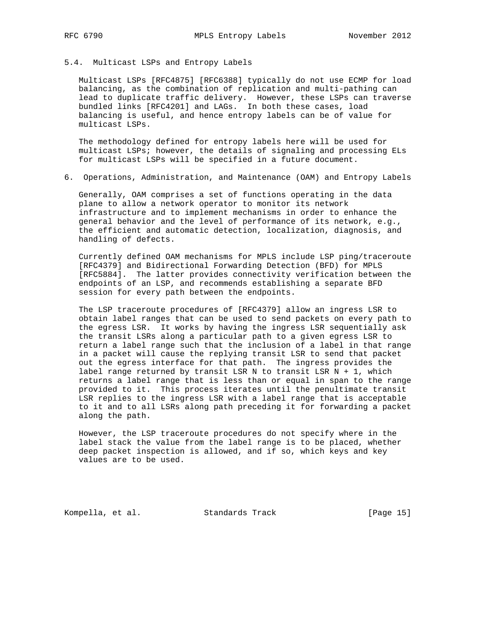### 5.4. Multicast LSPs and Entropy Labels

 Multicast LSPs [RFC4875] [RFC6388] typically do not use ECMP for load balancing, as the combination of replication and multi-pathing can lead to duplicate traffic delivery. However, these LSPs can traverse bundled links [RFC4201] and LAGs. In both these cases, load balancing is useful, and hence entropy labels can be of value for multicast LSPs.

 The methodology defined for entropy labels here will be used for multicast LSPs; however, the details of signaling and processing ELs for multicast LSPs will be specified in a future document.

6. Operations, Administration, and Maintenance (OAM) and Entropy Labels

 Generally, OAM comprises a set of functions operating in the data plane to allow a network operator to monitor its network infrastructure and to implement mechanisms in order to enhance the general behavior and the level of performance of its network, e.g., the efficient and automatic detection, localization, diagnosis, and handling of defects.

 Currently defined OAM mechanisms for MPLS include LSP ping/traceroute [RFC4379] and Bidirectional Forwarding Detection (BFD) for MPLS [RFC5884]. The latter provides connectivity verification between the endpoints of an LSP, and recommends establishing a separate BFD session for every path between the endpoints.

 The LSP traceroute procedures of [RFC4379] allow an ingress LSR to obtain label ranges that can be used to send packets on every path to the egress LSR. It works by having the ingress LSR sequentially ask the transit LSRs along a particular path to a given egress LSR to return a label range such that the inclusion of a label in that range in a packet will cause the replying transit LSR to send that packet out the egress interface for that path. The ingress provides the label range returned by transit LSR N to transit LSR N + 1, which returns a label range that is less than or equal in span to the range provided to it. This process iterates until the penultimate transit LSR replies to the ingress LSR with a label range that is acceptable to it and to all LSRs along path preceding it for forwarding a packet along the path.

 However, the LSP traceroute procedures do not specify where in the label stack the value from the label range is to be placed, whether deep packet inspection is allowed, and if so, which keys and key values are to be used.

Kompella, et al. Standards Track [Page 15]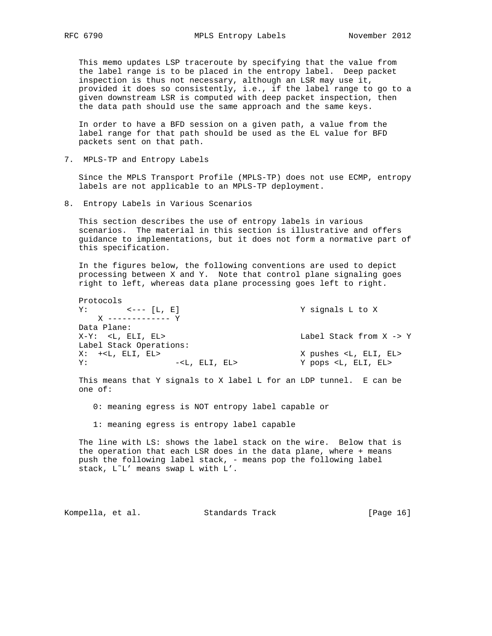This memo updates LSP traceroute by specifying that the value from the label range is to be placed in the entropy label. Deep packet inspection is thus not necessary, although an LSR may use it, provided it does so consistently, i.e., if the label range to go to a given downstream LSR is computed with deep packet inspection, then the data path should use the same approach and the same keys.

 In order to have a BFD session on a given path, a value from the label range for that path should be used as the EL value for BFD packets sent on that path.

7. MPLS-TP and Entropy Labels

 Since the MPLS Transport Profile (MPLS-TP) does not use ECMP, entropy labels are not applicable to an MPLS-TP deployment.

8. Entropy Labels in Various Scenarios

 This section describes the use of entropy labels in various scenarios. The material in this section is illustrative and offers guidance to implementations, but it does not form a normative part of this specification.

 In the figures below, the following conventions are used to depict processing between X and Y. Note that control plane signaling goes right to left, whereas data plane processing goes left to right.

```
 Protocols
 Y: <--- [L, E] Y signals L to X
    X ------------- Y
 Data Plane:
X-Y: <L, ELI, EL> Label Stack from X -> Y
 Label Stack Operations:
X: +<L, ELI, EL> X pushes <L, ELI, EL>
Y: -<L, ELI, EL> Y pops <L, ELI, EL>
```
 This means that Y signals to X label L for an LDP tunnel. E can be one of:

- 0: meaning egress is NOT entropy label capable or
- 1: meaning egress is entropy label capable

 The line with LS: shows the label stack on the wire. Below that is the operation that each LSR does in the data plane, where + means push the following label stack, - means pop the following label stack, L˜L' means swap L with L'.

Kompella, et al. Standards Track [Page 16]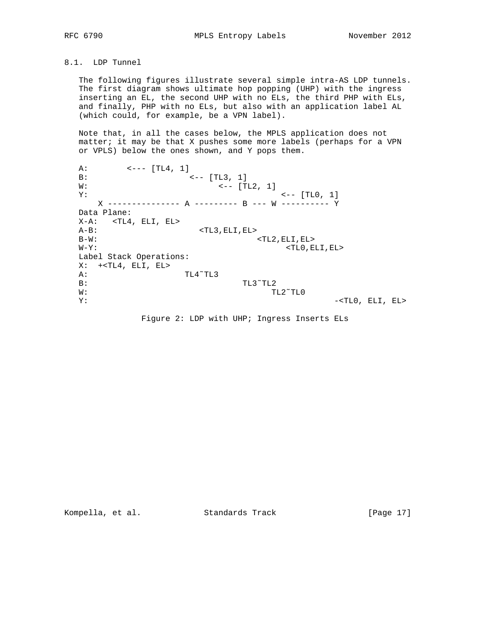# 8.1. LDP Tunnel

 The following figures illustrate several simple intra-AS LDP tunnels. The first diagram shows ultimate hop popping (UHP) with the ingress inserting an EL, the second UHP with no ELs, the third PHP with ELs, and finally, PHP with no ELs, but also with an application label AL (which could, for example, be a VPN label).

 Note that, in all the cases below, the MPLS application does not matter; it may be that X pushes some more labels (perhaps for a VPN or VPLS) below the ones shown, and Y pops them.

A:  $\leftarrow$  --- [TL4, 1] B:  $\leftarrow -$  [TL3, 1]  $W:$   $\leftarrow$  [TL2, 1]  $Y:$   $\left(- - \left[\text{TL0, 1}\right]\right)$  X --------------- A --------- B --- W ---------- Y Data Plane: X-A: <TL4, ELI, EL> A-B: <TL3, ELI, EL> B-W: <TL2, ELI, EL>  $\verb|W-Y|:\verb|W-Y|:\verb|W-Y|:\verb|W-Y|:\verb|W-Y|:\verb|W-Y|:\verb|W-Y|:\verb|W-Y|:\verb|W-Y|:\verb|W-Y|:\verb|W-Y|:\verb|W-Y|:\verb|W-Y|:\verb|W-Y|:\verb|W-Y|:\verb|W-Y|:\verb|W-Y|:\verb|W-Y|:\verb|W-Y|:\verb|W-Y|:\verb|W-Y|:\verb|W-Y|:\verb|W-Y|:\verb|W-Y|:\verb|W-Y|:\verb|W-Y|:\verb|W-Y|:\verb|W-Y|:\verb|W-Y|:\verb|W-Y|:\verb|W-Y|:\verb|W-Y|:\verb|W-Y|:\verb|W-Y|:\verb|W-Y|:\verb|W-Y|:\verb|W$  Label Stack Operations:  $X: +< T L 4$ ,  $E L 1$ ,  $E L >$  A: TL4˜TL3 B: TL3~TL2 W: TL2~TL0 Y:  $-$ <TL0, ELI, EL>

Figure 2: LDP with UHP; Ingress Inserts ELs

Kompella, et al. Standards Track [Page 17]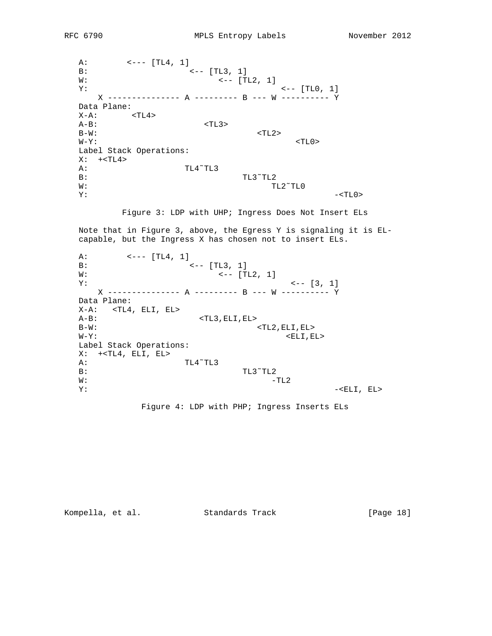A:  $\leftarrow$   $\leftarrow$  [TL4, 1] B:  $\leftarrow -$  [TL3, 1]  $W:$   $\left(- - \left[\text{TL2, 1}\right]\right]$  $Y:$   $\left(- - \left[\text{TL0, 1}\right]\right)$  X --------------- A --------- B --- W ---------- Y Data Plane:  $X-A$ :  $$  A-B: <TL3>  $B-W$ :  $<sub>TL2></sub>$ </sub>  $\verb|W-Y|:\verb|\\$  Label Stack Operations:  $X: +$  A: TL4˜TL3 B: TL3~TL2 W: TL2~TL0 Y: -<TL0>

Figure 3: LDP with UHP; Ingress Does Not Insert ELs

 Note that in Figure 3, above, the Egress Y is signaling it is EL capable, but the Ingress X has chosen not to insert ELs.

A:  $\leftarrow$  --- [TL4, 1] B:  $\begin{array}{ccc} 0.1 & 0.01 & 0.01 & 0.01 & 0.01 & 0.01 & 0.01 & 0.01 & 0.01 & 0.01 & 0.01 & 0.01 & 0.01 & 0.01 & 0.01 & 0.01 & 0.01 & 0.01 & 0.01 & 0.01 & 0.01 & 0.01 & 0.01 & 0.01 & 0.01 & 0.01 & 0.01 & 0.01 & 0.01 & 0.01 & 0.01 & 0.01 & 0.01 & 0.01 & 0.01 & 0$  $\leftarrow -$  [TL2, 1]  $Y:$   $\left\{ - - [3, 1] \right\}$  X --------------- A --------- B --- W ---------- Y Data Plane:  $X-A$ : <TL4, ELI, EL>  $A-B:$  <TL3, ELI, EL><br>B-W:  $\texttt{STL2}, \texttt{ELI}, \texttt{EL}>$  $W-Y$ : <ELI, EL> Label Stack Operations: X: +<TL4, ELI, EL> A: TL4˜TL3  $B:$  TL3<sup> $\sim$ </sup>TL2 TL3<sup> $\sim$ </sup>TL2  $-1$  $-TL2$  $Y:$  -<ELI, EL>

Figure 4: LDP with PHP; Ingress Inserts ELs

Kompella, et al. Standards Track [Page 18]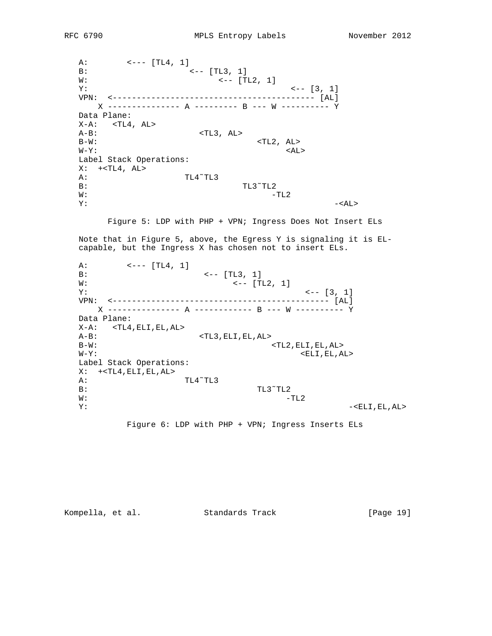A:  $\leftarrow$  --- [TL4, 1] B:  $\leftarrow$  [TL3, 1]  $W:$   $\left(- - \left[\text{TL2, 1}\right]\right]$  $Y:$   $\leftarrow$  [3, 1] VPN: <------------------------------------------ [AL] X --------------- A --------- B --- W ---------- Y Data Plane:  $X-A:$  <TL4, AL>  $A-B$ :  $\langle TL3, AL \rangle$  $\verb|B-W|:\verb|C-W|:\verb|C-W|:\verb|C-W|:\verb|C-W|:\verb|C-W|:\verb|C-W|:\verb|C-W|:\verb|C-W|:\verb|C-W|:\verb|C-W|:\verb|C-W|:\verb|C-W|:\verb|C-W|:\verb|C-W|:\verb|C-W|:\verb|C-W|:\verb|C-W|:\verb|C-W|:\verb|C-W|:\verb|C-W|:\verb|C-W|:\verb|C-W|:\verb|C-W|:\verb|C-W|:\verb|C-W|:\verb|C-W|:\verb|C-W|:\verb|C-W|:\verb|C-W|:\verb|C-W|:\verb|C-W|:\verb|C-W|:\verb|C-W|:\verb|C-W|:\verb|C-W|:\verb|C$  $\verb|W-Y|:\verb|$  Label Stack Operations:  $X: +< T L 4$ ,  $AL>$  A: TL4˜TL3 B: TL3~TL2  $W:$  -TL2  $Y:$  -<AL>

Figure 5: LDP with PHP + VPN; Ingress Does Not Insert ELs

 Note that in Figure 5, above, the Egress Y is signaling it is EL capable, but the Ingress X has chosen not to insert ELs.

 $A:$   $\leftarrow$   $\left[\text{TL4, 1}\right]$ B:  $\leftarrow$  [TL3, 1]  $W:$   $\leftarrow$  [TL2, 1]  $Y:$   $\left(- - [3, 1] \right)$  VPN: <--------------------------------------------- [AL] X --------------- A ------------ B --- W ---------- Y Data Plane:  $X-A:$  <TL4, ELI, EL, AL> A-B: <TL3, ELI, EL, AL> B-W:  $\langle TL2, ELI, EL, AL \rangle$  $\verb|W-Y|:\verb|W-Y|:\verb|W-Y|:\verb|W-Y|:\verb|W-Y|:\verb|W-Y|:\verb|W-Y|:\verb|W-Y|:\verb|W-Y|:\verb|W-Y|:\verb|W-Y|:\verb|W-Y|:\verb|W-Y|:\verb|W-Y|:\verb|W-Y|:\verb|W-Y|:\verb|W-Y|:\verb|W-Y|:\verb|W-Y|:\verb|W-Y|:\verb|W-Y|:\verb|W-Y|:\verb|W-Y|:\verb|W-Y|:\verb|W-Y|:\verb|W-Y|:\verb|W-Y|:\verb|W-Y|:\verb|W-Y|:\verb|W-Y|:\verb|W-Y|:\verb|W-Y|:\verb|W-Y|:\verb|W-Y|:\verb|W-Y|:\verb|W-Y|:\verb|W$  Label Stack Operations:  $X: +< T L 4, E L I, E L, AL>$  A: TL4˜TL3 B: TL3~TL2  $W:$  -TL2 Y: -<ELI,EL,AL>

Figure 6: LDP with PHP + VPN; Ingress Inserts ELs

Kompella, et al. Standards Track [Page 19]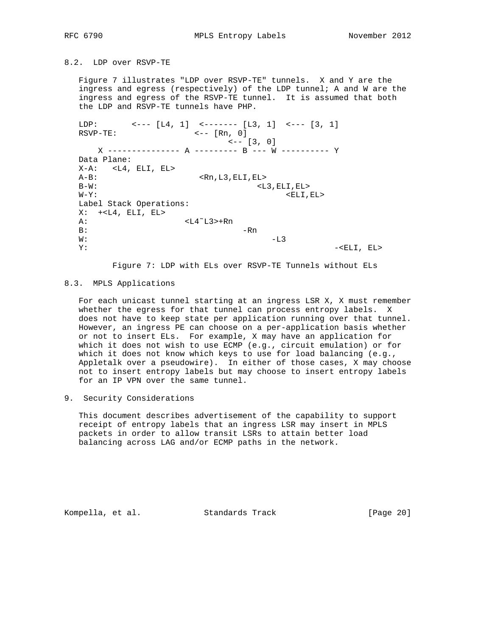8.2. LDP over RSVP-TE

 Figure 7 illustrates "LDP over RSVP-TE" tunnels. X and Y are the ingress and egress (respectively) of the LDP tunnel; A and W are the ingress and egress of the RSVP-TE tunnel. It is assumed that both the LDP and RSVP-TE tunnels have PHP.

LDP:  $\leftarrow - - [L4, 1]$   $\leftarrow - - - - [L3, 1]$   $\leftarrow - - [3, 1]$ RSVP-TE: <-- [Rn, 0]  $\leftarrow -$  [3, 0] X --------------- A --------- B --- W ---------- Y Data Plane:  $X-A:$  <L4, ELI, EL> A-B: <Rn,L3,ELI,EL> B-W: <br/> <br/> <br/> <br/> <br/> <br/> <br/> <br/> <br/> <br/> <br/> <br/> <br/> <br/> <br/> <br/> <br/> <br/> <br/> <br/> <br/> <br/> <br/> <br/> <br/> <br/> <br/> <br/> <br/> <br/> <br/> <br/> <br/> <br/> <br/> <br/> < W-Y: <ELI, EL> Label Stack Operations:  $X: +*L*4, ELI, EL>$  A: <L4˜L3>+Rn B:  $-Rn$  $W:$  -L3  $Y:$  -<ELI, EL>

Figure 7: LDP with ELs over RSVP-TE Tunnels without ELs

## 8.3. MPLS Applications

 For each unicast tunnel starting at an ingress LSR X, X must remember whether the egress for that tunnel can process entropy labels. X does not have to keep state per application running over that tunnel. However, an ingress PE can choose on a per-application basis whether or not to insert ELs. For example, X may have an application for which it does not wish to use ECMP (e.g., circuit emulation) or for which it does not know which keys to use for load balancing (e.g., Appletalk over a pseudowire). In either of those cases, X may choose not to insert entropy labels but may choose to insert entropy labels for an IP VPN over the same tunnel.

9. Security Considerations

 This document describes advertisement of the capability to support receipt of entropy labels that an ingress LSR may insert in MPLS packets in order to allow transit LSRs to attain better load balancing across LAG and/or ECMP paths in the network.

Kompella, et al. Standards Track [Page 20]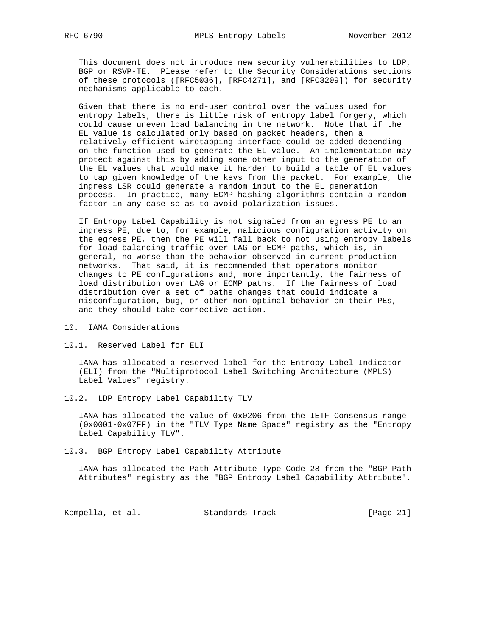This document does not introduce new security vulnerabilities to LDP, BGP or RSVP-TE. Please refer to the Security Considerations sections of these protocols ([RFC5036], [RFC4271], and [RFC3209]) for security mechanisms applicable to each.

 Given that there is no end-user control over the values used for entropy labels, there is little risk of entropy label forgery, which could cause uneven load balancing in the network. Note that if the EL value is calculated only based on packet headers, then a relatively efficient wiretapping interface could be added depending on the function used to generate the EL value. An implementation may protect against this by adding some other input to the generation of the EL values that would make it harder to build a table of EL values to tap given knowledge of the keys from the packet. For example, the ingress LSR could generate a random input to the EL generation process. In practice, many ECMP hashing algorithms contain a random factor in any case so as to avoid polarization issues.

 If Entropy Label Capability is not signaled from an egress PE to an ingress PE, due to, for example, malicious configuration activity on the egress PE, then the PE will fall back to not using entropy labels for load balancing traffic over LAG or ECMP paths, which is, in general, no worse than the behavior observed in current production networks. That said, it is recommended that operators monitor changes to PE configurations and, more importantly, the fairness of load distribution over LAG or ECMP paths. If the fairness of load distribution over a set of paths changes that could indicate a misconfiguration, bug, or other non-optimal behavior on their PEs, and they should take corrective action.

- 10. IANA Considerations
- 10.1. Reserved Label for ELI

 IANA has allocated a reserved label for the Entropy Label Indicator (ELI) from the "Multiprotocol Label Switching Architecture (MPLS) Label Values" registry.

10.2. LDP Entropy Label Capability TLV

 IANA has allocated the value of 0x0206 from the IETF Consensus range (0x0001-0x07FF) in the "TLV Type Name Space" registry as the "Entropy Label Capability TLV".

10.3. BGP Entropy Label Capability Attribute

 IANA has allocated the Path Attribute Type Code 28 from the "BGP Path Attributes" registry as the "BGP Entropy Label Capability Attribute".

Kompella, et al. Standards Track [Page 21]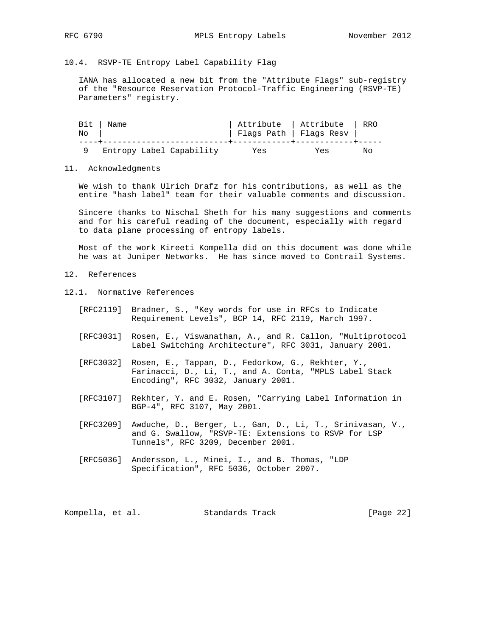# 10.4. RSVP-TE Entropy Label Capability Flag

 IANA has allocated a new bit from the "Attribute Flags" sub-registry of the "Resource Reservation Protocol-Traffic Engineering (RSVP-TE) Parameters" registry.

| No | $Bit$   Name             | Attribute   Attribute<br>Flags Path   Flags Resv |     | RRO |
|----|--------------------------|--------------------------------------------------|-----|-----|
|    | Entropy Label Capability | Yes                                              | Yes | Nο  |

### 11. Acknowledgments

 We wish to thank Ulrich Drafz for his contributions, as well as the entire "hash label" team for their valuable comments and discussion.

 Sincere thanks to Nischal Sheth for his many suggestions and comments and for his careful reading of the document, especially with regard to data plane processing of entropy labels.

 Most of the work Kireeti Kompella did on this document was done while he was at Juniper Networks. He has since moved to Contrail Systems.

- 12. References
- 12.1. Normative References
	- [RFC2119] Bradner, S., "Key words for use in RFCs to Indicate Requirement Levels", BCP 14, RFC 2119, March 1997.
	- [RFC3031] Rosen, E., Viswanathan, A., and R. Callon, "Multiprotocol Label Switching Architecture", RFC 3031, January 2001.
	- [RFC3032] Rosen, E., Tappan, D., Fedorkow, G., Rekhter, Y., Farinacci, D., Li, T., and A. Conta, "MPLS Label Stack Encoding", RFC 3032, January 2001.
	- [RFC3107] Rekhter, Y. and E. Rosen, "Carrying Label Information in BGP-4", RFC 3107, May 2001.
	- [RFC3209] Awduche, D., Berger, L., Gan, D., Li, T., Srinivasan, V., and G. Swallow, "RSVP-TE: Extensions to RSVP for LSP Tunnels", RFC 3209, December 2001.
	- [RFC5036] Andersson, L., Minei, I., and B. Thomas, "LDP Specification", RFC 5036, October 2007.

Kompella, et al. Standards Track [Page 22]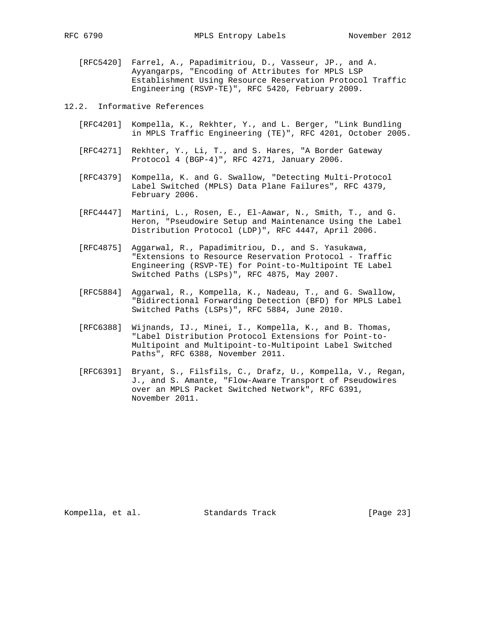[RFC5420] Farrel, A., Papadimitriou, D., Vasseur, JP., and A. Ayyangarps, "Encoding of Attributes for MPLS LSP Establishment Using Resource Reservation Protocol Traffic Engineering (RSVP-TE)", RFC 5420, February 2009.

12.2. Informative References

- [RFC4201] Kompella, K., Rekhter, Y., and L. Berger, "Link Bundling in MPLS Traffic Engineering (TE)", RFC 4201, October 2005.
- [RFC4271] Rekhter, Y., Li, T., and S. Hares, "A Border Gateway Protocol 4 (BGP-4)", RFC 4271, January 2006.
- [RFC4379] Kompella, K. and G. Swallow, "Detecting Multi-Protocol Label Switched (MPLS) Data Plane Failures", RFC 4379, February 2006.
- [RFC4447] Martini, L., Rosen, E., El-Aawar, N., Smith, T., and G. Heron, "Pseudowire Setup and Maintenance Using the Label Distribution Protocol (LDP)", RFC 4447, April 2006.
- [RFC4875] Aggarwal, R., Papadimitriou, D., and S. Yasukawa, "Extensions to Resource Reservation Protocol - Traffic Engineering (RSVP-TE) for Point-to-Multipoint TE Label Switched Paths (LSPs)", RFC 4875, May 2007.
- [RFC5884] Aggarwal, R., Kompella, K., Nadeau, T., and G. Swallow, "Bidirectional Forwarding Detection (BFD) for MPLS Label Switched Paths (LSPs)", RFC 5884, June 2010.
- [RFC6388] Wijnands, IJ., Minei, I., Kompella, K., and B. Thomas, "Label Distribution Protocol Extensions for Point-to- Multipoint and Multipoint-to-Multipoint Label Switched Paths", RFC 6388, November 2011.
- [RFC6391] Bryant, S., Filsfils, C., Drafz, U., Kompella, V., Regan, J., and S. Amante, "Flow-Aware Transport of Pseudowires over an MPLS Packet Switched Network", RFC 6391, November 2011.

Kompella, et al. Standards Track [Page 23]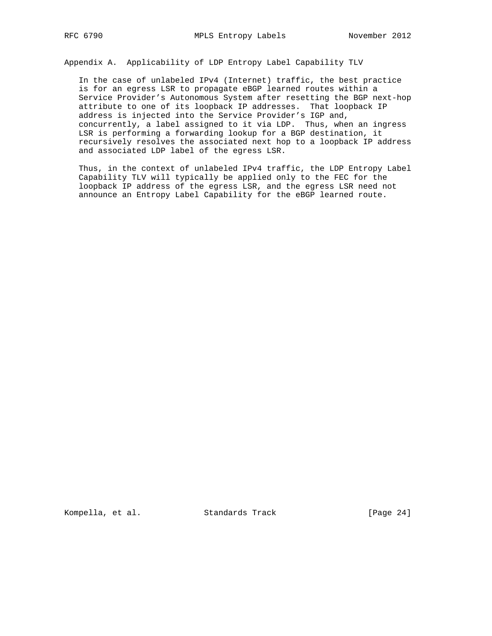Appendix A. Applicability of LDP Entropy Label Capability TLV

 In the case of unlabeled IPv4 (Internet) traffic, the best practice is for an egress LSR to propagate eBGP learned routes within a Service Provider's Autonomous System after resetting the BGP next-hop attribute to one of its loopback IP addresses. That loopback IP address is injected into the Service Provider's IGP and, concurrently, a label assigned to it via LDP. Thus, when an ingress LSR is performing a forwarding lookup for a BGP destination, it recursively resolves the associated next hop to a loopback IP address and associated LDP label of the egress LSR.

 Thus, in the context of unlabeled IPv4 traffic, the LDP Entropy Label Capability TLV will typically be applied only to the FEC for the loopback IP address of the egress LSR, and the egress LSR need not announce an Entropy Label Capability for the eBGP learned route.